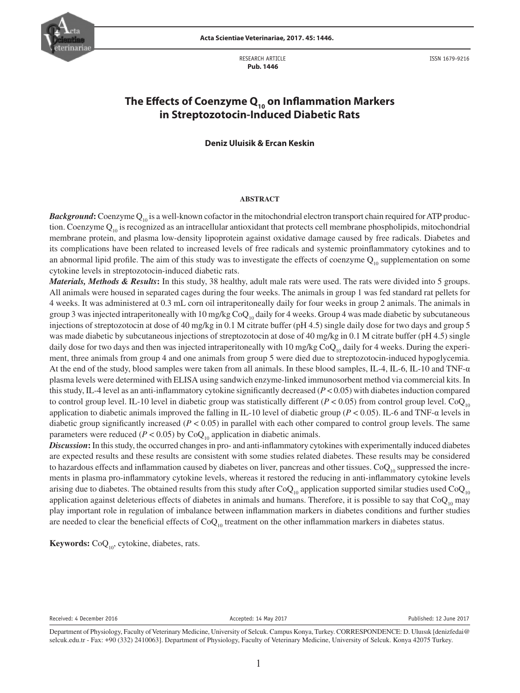

RESEARCH ARTICLE  **Pub. 1446**

ISSN 1679-9216

# The Effects of Coenzyme Q<sub>10</sub> on Inflammation Markers **in Streptozotocin-Induced Diabetic Rats**

### **Deniz Uluisik & Ercan Keskin**

### **ABSTRACT**

*Background*: Coenzyme Q<sub>10</sub> is a well-known cofactor in the mitochondrial electron transport chain required for ATP production. Coenzyme  $Q_{10}$  is recognized as an intracellular antioxidant that protects cell membrane phospholipids, mitochondrial membrane protein, and plasma low-density lipoprotein against oxidative damage caused by free radicals. Diabetes and its complications have been related to increased levels of free radicals and systemic proinflammatory cytokines and to an abnormal lipid profile. The aim of this study was to investigate the effects of coenzyme  $Q_{10}$  supplementation on some cytokine levels in streptozotocin-induced diabetic rats.

*Materials, Methods & Results***:** In this study, 38 healthy, adult male rats were used. The rats were divided into 5 groups. All animals were housed in separated cages during the four weeks. The animals in group 1 was fed standard rat pellets for 4 weeks. It was administered at 0.3 mL corn oil intraperitoneally daily for four weeks in group 2 animals. The animals in group 3 was injected intraperitoneally with 10 mg/kg  $CoQ<sub>10</sub>$  daily for 4 weeks. Group 4 was made diabetic by subcutaneous injections of streptozotocin at dose of 40 mg/kg in 0.1 M citrate buffer (pH 4.5) single daily dose for two days and group 5 was made diabetic by subcutaneous injections of streptozotocin at dose of 40 mg/kg in 0.1 M citrate buffer (pH 4.5) single daily dose for two days and then was injected intraperitoneally with 10 mg/kg  $CoQ_{10}$  daily for 4 weeks. During the experiment, three animals from group 4 and one animals from group 5 were died due to streptozotocin-induced hypoglycemia. At the end of the study, blood samples were taken from all animals. In these blood samples, IL-4, IL-6, IL-10 and TNF-α plasma levels were determined with ELISA using sandwich enzyme-linked immunosorbent method via commercial kits. In this study, IL-4 level as an anti-inflammatory cytokine significantly decreased (*P* < 0.05) with diabetes induction compared to control group level. IL-10 level in diabetic group was statistically different ( $P < 0.05$ ) from control group level. Co $Q_{10}$ application to diabetic animals improved the falling in IL-10 level of diabetic group (*P* < 0.05). IL-6 and TNF-α levels in diabetic group significantly increased (*P* < 0.05) in parallel with each other compared to control group levels. The same parameters were reduced ( $P < 0.05$ ) by CoQ<sub>10</sub> application in diabetic animals.

*Discussion***:** In this study, the occurred changes in pro- and anti-inflammatory cytokines with experimentally induced diabetes are expected results and these results are consistent with some studies related diabetes. These results may be considered to hazardous effects and inflammation caused by diabetes on liver, pancreas and other tissues.  $CoQ_{10}$  suppressed the increments in plasma pro-inflammatory cytokine levels, whereas it restored the reducing in anti-inflammatory cytokine levels arising due to diabetes. The obtained results from this study after  $CoQ_{10}$  application supported similar studies used  $CoQ_{10}$ application against deleterious effects of diabetes in animals and humans. Therefore, it is possible to say that  $CoQ<sub>10</sub>$  may play important role in regulation of imbalance between inflammation markers in diabetes conditions and further studies are needed to clear the beneficial effects of  $CoQ<sub>10</sub>$  treatment on the other inflammation markers in diabetes status.

**Keywords:** CoQ<sub>10</sub>, cytokine, diabetes, rats.

Received: 4 December 2016 **Accepted: 14 May 2017** Accepted: 14 May 2017 **Accepted: 12 June 2017** Published: 12 June 2017

Department of Physiology, Faculty of Veterinary Medicine, University of Selcuk. Campus Konya, Turkey. CORRESPONDENCE: D. Uluısık [denizfedai@ selcuk.edu.tr - Fax: +90 (332) 2410063]. Department of Physiology, Faculty of Veterinary Medicine, University of Selcuk. Konya 42075 Turkey.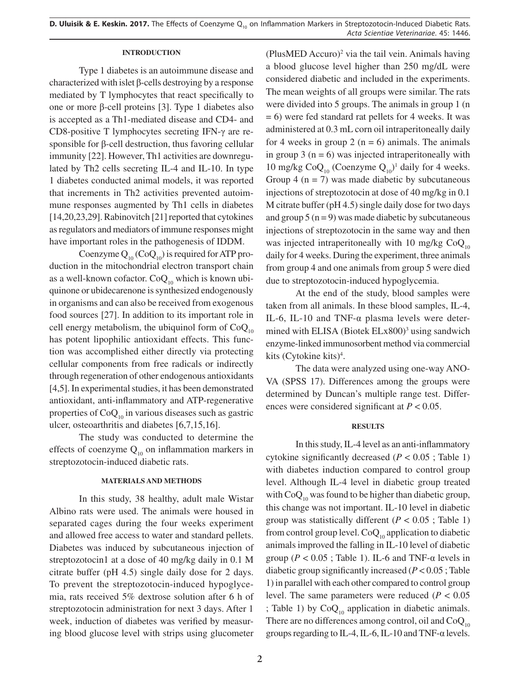**D. Uluisik & E. Keskin. 2017.** The Effects of Coenzyme Q<sub>10</sub> on Inflammation Markers in Streptozotocin-Induced Diabetic Rats. *Acta Scientiae Veterinariae*. 45: 1446.

### **INTRODUCTION**

Type 1 diabetes is an autoimmune disease and characterized with islet β-cells destroying by a response mediated by T lymphocytes that react specifically to one or more β-cell proteins [3]. Type 1 diabetes also is accepted as a Th1-mediated disease and CD4- and CD8-positive T lymphocytes secreting IFN-γ are responsible for β-cell destruction, thus favoring cellular immunity [22]. However, Th1 activities are downregulated by Th2 cells secreting IL-4 and IL-10. In type 1 diabetes conducted animal models, it was reported that increments in Th2 activities prevented autoimmune responses augmented by Th1 cells in diabetes [14,20,23,29]. Rabinovitch [21] reported that cytokines as regulators and mediators of immune responses might have important roles in the pathogenesis of IDDM.

Coenzyme  $Q_{10}$  (Co $Q_{10}$ ) is required for ATP production in the mitochondrial electron transport chain as a well-known cofactor.  $CoQ_{10}$  which is known ubiquinone or ubidecarenone is synthesized endogenously in organisms and can also be received from exogenous food sources [27]. In addition to its important role in cell energy metabolism, the ubiquinol form of  $CoQ<sub>10</sub>$ has potent lipophilic antioxidant effects. This function was accomplished either directly via protecting cellular components from free radicals or indirectly through regeneration of other endogenous antioxidants [4,5]. In experimental studies, it has been demonstrated antioxidant, anti-inflammatory and ATP-regenerative properties of  $CoQ_{10}$  in various diseases such as gastric ulcer, osteoarthritis and diabetes [6,7,15,16].

The study was conducted to determine the effects of coenzyme  $Q_{10}$  on inflammation markers in streptozotocin-induced diabetic rats.

## **MATERIALS AND METHODS**

In this study, 38 healthy, adult male Wistar Albino rats were used. The animals were housed in separated cages during the four weeks experiment and allowed free access to water and standard pellets. Diabetes was induced by subcutaneous injection of streptozotocin1 at a dose of 40 mg/kg daily in 0.1 M citrate buffer (pH 4.5) single daily dose for 2 days. To prevent the streptozotocin-induced hypoglycemia, rats received 5% dextrose solution after 6 h of streptozotocin administration for next 3 days. After 1 week, induction of diabetes was verified by measuring blood glucose level with strips using glucometer

 $(PlusMED Accuro)<sup>2</sup>$  via the tail vein. Animals having a blood glucose level higher than 250 mg/dL were considered diabetic and included in the experiments. The mean weights of all groups were similar. The rats were divided into 5 groups. The animals in group 1 (n  $= 6$ ) were fed standard rat pellets for 4 weeks. It was administered at 0.3 mL corn oil intraperitoneally daily for 4 weeks in group 2 ( $n = 6$ ) animals. The animals in group 3 ( $n = 6$ ) was injected intraperitoneally with 10 mg/kg  $CoQ_{10}$  (Coenzyme  $Q_{10}$ <sup>1</sup> daily for 4 weeks. Group 4 ( $n = 7$ ) was made diabetic by subcutaneous injections of streptozotocin at dose of 40 mg/kg in 0.1 M citrate buffer (pH 4.5) single daily dose for two days and group  $5 (n = 9)$  was made diabetic by subcutaneous injections of streptozotocin in the same way and then was injected intraperitoneally with 10 mg/kg  $CoQ<sub>10</sub>$ daily for 4 weeks. During the experiment, three animals from group 4 and one animals from group 5 were died due to streptozotocin-induced hypoglycemia.

At the end of the study, blood samples were taken from all animals. In these blood samples, IL-4, IL-6, IL-10 and TNF-α plasma levels were determined with ELISA (Biotek  $E Lx800$ )<sup>3</sup> using sandwich enzyme-linked immunosorbent method via commercial kits (Cytokine kits)<sup>4</sup>.

The data were analyzed using one-way ANO-VA (SPSS 17). Differences among the groups were determined by Duncan's multiple range test. Differences were considered significant at *P* < 0.05.

### **RESULTS**

In this study, IL-4 level as an anti-inflammatory cytokine significantly decreased  $(P < 0.05$ ; Table 1) with diabetes induction compared to control group level. Although IL-4 level in diabetic group treated with  $CoQ_{10}$  was found to be higher than diabetic group, this change was not important. IL-10 level in diabetic group was statistically different ( $P < 0.05$ ; Table 1) from control group level.  $CoQ_{10}$  application to diabetic animals improved the falling in IL-10 level of diabetic group ( $P < 0.05$ ; Table 1). IL-6 and TNF- $\alpha$  levels in diabetic group significantly increased (*P* < 0.05 ; Table 1) in parallel with each other compared to control group level. The same parameters were reduced  $(P < 0.05$ ; Table 1) by  $CoQ_{10}$  application in diabetic animals. There are no differences among control, oil and  $CoQ<sub>10</sub>$ groups regarding to IL-4, IL-6, IL-10 and TNF-α levels.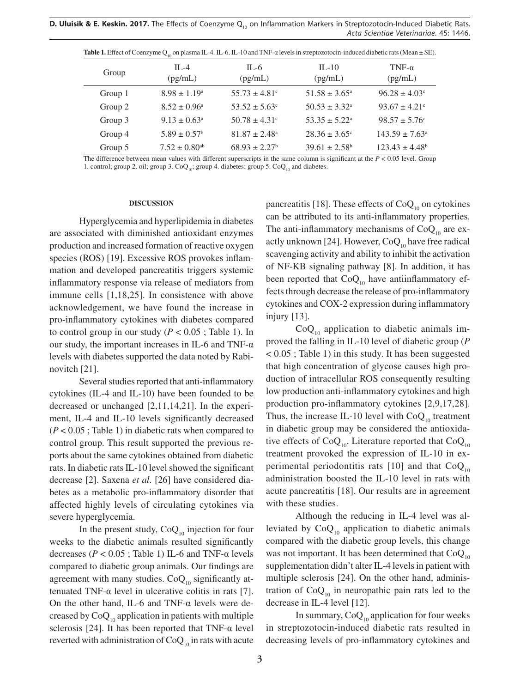**D. Uluisik & E. Keskin. 2017.** The Effects of Coenzyme Q<sub>10</sub> on Inflammation Markers in Streptozotocin-Induced Diabetic Rats. *Acta Scientiae Veterinariae*. 45: 1446.

|         | $\sim$ $\sim$ 10 $\sim$ 10 $\sim$ 10 $\sim$ 10 $\sim$ 10 $\sim$ 10 $\sim$ 10 $\sim$ 10 $\sim$ 10 $\sim$ 10 $\sim$ 10 $\sim$ 10 $\sim$ 10 $\sim$ 10 $\sim$ 10 $\sim$ 10 $\sim$ 10 $\sim$ 10 $\sim$ 10 $\sim$ 10 $\sim$ 10 $\sim$ 10 $\sim$ 10 $\sim$ 10 $\sim$ 10 $\sim$ 10 $\sim$ 10 |                               |                               |                           |
|---------|--------------------------------------------------------------------------------------------------------------------------------------------------------------------------------------------------------------------------------------------------------------------------------------|-------------------------------|-------------------------------|---------------------------|
| Group   | IL-4<br>(pg/mL)                                                                                                                                                                                                                                                                      | IL-6<br>(pg/mL)               | $IL-10$<br>(pg/mL)            | TNF- $\alpha$<br>(pg/mL)  |
| Group 1 | $8.98 \pm 1.19^{\circ}$                                                                                                                                                                                                                                                              | $55.73 \pm 4.81^{\circ}$      | $51.58 \pm 3.65^{\circ}$      | $96.28 \pm 4.03^{\circ}$  |
| Group 2 | $8.52 \pm 0.96^{\circ}$                                                                                                                                                                                                                                                              | $53.52 \pm 5.63^{\circ}$      | $50.53 \pm 3.32^{\circ}$      | $93.67 \pm 4.21$ °        |
| Group 3 | $9.13 \pm 0.63^{\circ}$                                                                                                                                                                                                                                                              | $50.78 \pm 4.31^{\circ}$      | $53.35 \pm 5.22^{\circ}$      | $98.57 \pm 5.76^{\circ}$  |
| Group 4 | $5.89 \pm 0.57$ <sup>b</sup>                                                                                                                                                                                                                                                         | $81.87 \pm 2.48^{\circ}$      | $28.36 \pm 3.65^{\circ}$      | $143.59 \pm 7.63^{\circ}$ |
| Group 5 | $7.52 \pm 0.80$ <sup>ab</sup>                                                                                                                                                                                                                                                        | $68.93 \pm 2.27$ <sup>b</sup> | $39.61 \pm 2.58$ <sup>b</sup> | $123.43 \pm 4.48^b$       |

**Table 1.** Effect of Coenzyme O<sub>10</sub> on plasma IL-4. IL-6. IL-10 and TNF-α levels in streptozotocin-induced diabetic rats (Mean ± SE).

The difference between mean values with different superscripts in the same column is significant at the *P* < 0.05 level. Group 1. control; group 2. oil; group 3.  $CoQ<sub>10</sub>$ ; group 4. diabetes; group 5.  $CoQ<sub>10</sub>$  and diabetes.

#### **DISCUSSION**

Hyperglycemia and hyperlipidemia in diabetes are associated with diminished antioxidant enzymes production and increased formation of reactive oxygen species (ROS) [19]. Excessive ROS provokes inflammation and developed pancreatitis triggers systemic inflammatory response via release of mediators from immune cells [1,18,25]. In consistence with above acknowledgement, we have found the increase in pro-inflammatory cytokines with diabetes compared to control group in our study ( $P < 0.05$ ; Table 1). In our study, the important increases in IL-6 and TNF- $\alpha$ levels with diabetes supported the data noted by Rabinovitch [21].

Several studies reported that anti-inflammatory cytokines (IL-4 and IL-10) have been founded to be decreased or unchanged [2,11,14,21]. In the experiment, IL-4 and IL-10 levels significantly decreased (*P* < 0.05 ; Table 1) in diabetic rats when compared to control group. This result supported the previous reports about the same cytokines obtained from diabetic rats. In diabetic rats IL-10 level showed the significant decrease [2]. Saxena *et al*. [26] have considered diabetes as a metabolic pro-inflammatory disorder that affected highly levels of circulating cytokines via severe hyperglycemia.

In the present study,  $CoQ_{10}$  injection for four weeks to the diabetic animals resulted significantly decreases ( $P < 0.05$ ; Table 1) IL-6 and TNF- $\alpha$  levels compared to diabetic group animals. Our findings are agreement with many studies.  $CoQ_{10}$  significantly attenuated TNF-α level in ulcerative colitis in rats [7]. On the other hand, IL-6 and TNF- $\alpha$  levels were decreased by  $CoQ_{10}$  application in patients with multiple sclerosis [24]. It has been reported that  $TNF-\alpha$  level reverted with administration of  $CoQ<sub>10</sub>$  in rats with acute pancreatitis [18]. These effects of  $CoQ<sub>10</sub>$  on cytokines can be attributed to its anti-inflammatory properties. The anti-inflammatory mechanisms of  $CoQ_{10}$  are exactly unknown [24]. However,  $CoQ<sub>10</sub>$  have free radical scavenging activity and ability to inhibit the activation of NF-KB signaling pathway [8]. In addition, it has been reported that  $CoQ<sub>10</sub>$  have antiinflammatory effects through decrease the release of pro-inflammatory cytokines and COX-2 expression during inflammatory injury [13].

 $CoQ<sub>10</sub>$  application to diabetic animals improved the falling in IL-10 level of diabetic group (*P* < 0.05 ; Table 1) in this study. It has been suggested that high concentration of glycose causes high production of intracellular ROS consequently resulting low production anti-inflammatory cytokines and high production pro-inflammatory cytokines [2,9,17,28]. Thus, the increase IL-10 level with  $CoQ_{10}$  treatment in diabetic group may be considered the antioxidative effects of  $CoQ_{10}$ . Literature reported that  $CoQ_{10}$ treatment provoked the expression of IL-10 in experimental periodontitis rats [10] and that  $CoQ_{10}$ administration boosted the IL-10 level in rats with acute pancreatitis [18]. Our results are in agreement with these studies.

Although the reducing in IL-4 level was alleviated by  $CoQ_{10}$  application to diabetic animals compared with the diabetic group levels, this change was not important. It has been determined that  $CoQ<sub>10</sub>$ supplementation didn't alter IL-4 levels in patient with multiple sclerosis [24]. On the other hand, administration of  $CoQ_{10}$  in neuropathic pain rats led to the decrease in IL-4 level [12].

In summary,  $CoQ_{10}$  application for four weeks in streptozotocin-induced diabetic rats resulted in decreasing levels of pro-inflammatory cytokines and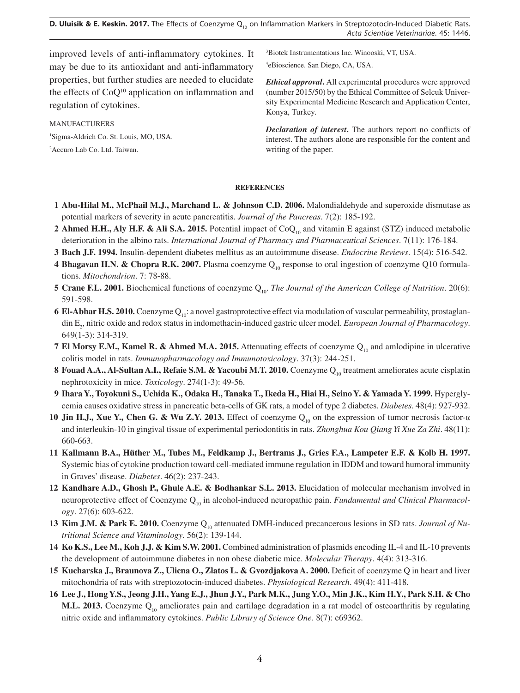**D. Uluisik & E. Keskin. 2017.** The Effects of Coenzyme Q<sub>10</sub> on Inflammation Markers in Streptozotocin-Induced Diabetic Rats. *Acta Scientiae Veterinariae*. 45: 1446.

improved levels of anti-inflammatory cytokines. It may be due to its antioxidant and anti-inflammatory properties, but further studies are needed to elucidate the effects of  $CoQ<sup>10</sup>$  application on inflammation and regulation of cytokines.

MANUFACTURERS 1 Sigma-Aldrich Co. St. Louis, MO, USA.

2 Accuro Lab Co. Ltd. Taiwan.

3 Biotek Instrumentations Inc. Winooski, VT, USA. 4 eBioscience. San Diego, CA, USA.

*Ethical approval***.** All experimental procedures were approved (number 2015/50) by the Ethical Committee of Selcuk University Experimental Medicine Research and Application Center, Konya, Turkey.

*Declaration of interest***.** The authors report no conflicts of interest. The authors alone are responsible for the content and writing of the paper.

### **REFERENCES**

- **1 Abu-Hilal M., McPhail M.J., Marchand L. & Johnson C.D. 2006.** Malondialdehyde and superoxide dismutase as potential markers of severity in acute pancreatitis. *Journal of the Pancreas*. 7(2): 185-192.
- **2 Ahmed H.H., Aly H.F. & Ali S.A. 2015.** Potential impact of CoQ<sub>10</sub> and vitamin E against (STZ) induced metabolic deterioration in the albino rats. *International Journal of Pharmacy and Pharmaceutical Sciences*. 7(11): 176-184.
- **3 Bach J.F. 1994.** Insulin-dependent diabetes mellitus as an autoimmune disease. *Endocrine Reviews*. 15(4): 516-542.
- 4 **Bhagavan H.N. & Chopra R.K. 2007.** Plasma coenzyme Q<sub>10</sub> response to oral ingestion of coenzyme Q10 formulations. *Mitochondrion*. 7: 78-88.
- **5 Crane F.L. 2001.** Biochemical functions of coenzyme Q<sub>10</sub>. *The Journal of the American College of Nutrition*. 20(6): 591-598.
- **6 El-Abhar H.S. 2010.** Coenzyme Q<sub>10</sub>: a novel gastroprotective effect via modulation of vascular permeability, prostaglandin E2 , nitric oxide and redox status in indomethacin-induced gastric ulcer model. *European Journal of Pharmacology*. 649(1-3): 314-319.
- **7 El Morsy E.M., Kamel R. & Ahmed M.A. 2015.** Attenuating effects of coenzyme Q<sub>10</sub> and amlodipine in ulcerative colitis model in rats. *Immunopharmacology and Immunotoxicology*. 37(3): 244-251.
- **8 Fouad A.A., Al-Sultan A.I., Refaie S.M. & Yacoubi M.T. 2010.** Coenzyme Q<sub>10</sub> treatment ameliorates acute cisplatin nephrotoxicity in mice. *Toxicology*. 274(1-3): 49-56.
- **9 Ihara Y., Toyokuni S., Uchida K., Odaka H., Tanaka T., Ikeda H., Hiai H., Seino Y. & Yamada Y. 1999.** Hyperglycemia causes oxidative stress in pancreatic beta-cells of GK rats, a model of type 2 diabetes. *Diabetes*. 48(4): 927-932.
- **10 Jin H.J., Xue Y., Chen G. & Wu Z.Y. 2013.** Effect of coenzyme Q<sub>10</sub> on the expression of tumor necrosis factor-α and interleukin-10 in gingival tissue of experimental periodontitis in rats. *Zhonghua Kou Qiang Yi Xue Za Zhi*. 48(11): 660-663.
- **11 Kallmann B.A., Hüther M., Tubes M., Feldkamp J., Bertrams J., Gries F.A., Lampeter E.F. & Kolb H. 1997.**  Systemic bias of cytokine production toward cell-mediated immune regulation in IDDM and toward humoral immunity in Graves' disease. *Diabetes*. 46(2): 237-243.
- **12 Kandhare A.D., Ghosh P., Ghule A.E. & Bodhankar S.L. 2013.** Elucidation of molecular mechanism involved in neuroprotective effect of Coenzyme Q<sub>10</sub> in alcohol-induced neuropathic pain. *Fundamental and Clinical Pharmacology*. 27(6): 603-622.
- **13 Kim J.M. & Park E. 2010.** Coenzyme Q<sub>10</sub> attenuated DMH-induced precancerous lesions in SD rats. *Journal of Nutritional Science and Vitaminology*. 56(2): 139-144.
- **14 Ko K.S., Lee M., Koh J.J. & Kim S.W. 2001.** Combined administration of plasmids encoding IL-4 and IL-10 prevents the development of autoimmune diabetes in non obese diabetic mice. *Molecular Therapy*. 4(4): 313-316.
- **15 Kucharska J., Braunova Z., Ulicna O., Zlatos L. & Gvozdjakova A. 2000.** Deficit of coenzyme Q in heart and liver mitochondria of rats with streptozotocin-induced diabetes. *Physiological Research*. 49(4): 411-418.
- **16 Lee J., Hong Y.S., Jeong J.H., Yang E.J., Jhun J.Y., Park M.K., Jung Y.O., Min J.K., Kim H.Y., Park S.H. & Cho M.L. 2013.** Coenzyme Q<sub>10</sub> ameliorates pain and cartilage degradation in a rat model of osteoarthritis by regulating nitric oxide and inflammatory cytokines. *Public Library of Science One*. 8(7): e69362.